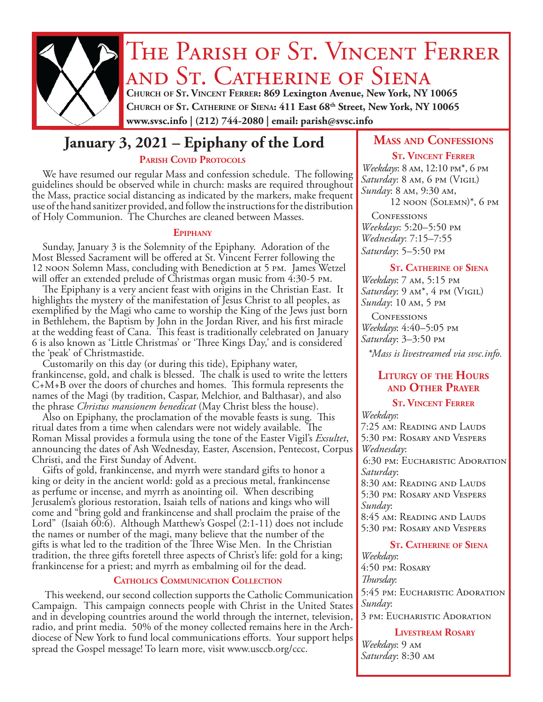

# THE PARISH OF ST. VINCENT FERRER and St. Catherine of Siena **Church of St. Vincent Ferrer: 869 Lexington Avenue, New York, NY 10065**

**Church of St. Catherine of Siena: 411 East 68th Street, New York, NY 10065 www.svsc.info | (212) 744-2080 | email: parish@svsc.info**

# **January 3, 2021 – Epiphany of the Lord MASS AND CONFESSIONS**

#### PARISH COVID PROTOCOLS

We have resumed our regular Mass and confession schedule. The following guidelines should be observed while in church: masks are required throughout the Mass, practice social distancing as indicated by the markers, make frequent use of the hand sanitizer provided, and follow the instructions for the distribution of Holy Communion. The Churches are cleaned between Masses.

#### **Epiphany**

Sunday, January 3 is the Solemnity of the Epiphany. Adoration of the Most Blessed Sacrament will be offered at St. Vincent Ferrer following the 12 noon Solemn Mass, concluding with Benediction at 5 pm. James Wetzel will offer an extended prelude of Christmas organ music from 4:30-5 pm.

The Epiphany is a very ancient feast with origins in the Christian East. It highlights the mystery of the manifestation of Jesus Christ to all peoples, as exemplified by the Magi who came to worship the King of the Jews just born in Bethlehem, the Baptism by John in the Jordan River, and his first miracle at the wedding feast of Cana. This feast is traditionally celebrated on January 6 is also known as 'Little Christmas' or 'Three Kings Day,' and is considered the 'peak' of Christmastide.

Customarily on this day (or during this tide), Epiphany water, frankincense, gold, and chalk is blessed. The chalk is used to write the letters C+M+B over the doors of churches and homes. This formula represents the names of the Magi (by tradition, Caspar, Melchior, and Balthasar), and also the phrase *Christus mansionem benedicat* (May Christ bless the house).

Also on Epiphany, the proclamation of the movable feasts is sung. This ritual dates from a time when calendars were not widely available. The Roman Missal provides a formula using the tone of the Easter Vigil's *Exsultet*, announcing the dates of Ash Wednesday, Easter, Ascension, Pentecost, Corpus Christi, and the First Sunday of Advent.

Gifts of gold, frankincense, and myrrh were standard gifts to honor a king or deity in the ancient world: gold as a precious metal, frankincense as perfume or incense, and myrrh as anointing oil. When describing Jerusalem's glorious restoration, Isaiah tells of nations and kings who will come and "bring gold and frankincense and shall proclaim the praise of the Lord" (Isaiah 60:6). Although Matthew's Gospel (2:1-11) does not include the names or number of the magi, many believe that the number of the gifts is what led to the tradition of the Three Wise Men. In the Christian tradition, the three gifts foretell three aspects of Christ's life: gold for a king; frankincense for a priest; and myrrh as embalming oil for the dead.

#### **Catholics Communication Collection**

This weekend, our second collection supports the Catholic Communication Campaign. This campaign connects people with Christ in the United States and in developing countries around the world through the internet, television, radio, and print media. 50% of the money collected remains here in the Archdiocese of New York to fund local communications efforts. Your support helps spread the Gospel message! To learn more, visit www.usccb.org/ccc.

#### **St. Vincent Ferrer**

*Weekdays*: 8 am, 12:10 pm\*, 6 pm *Saturday*: 8 am, 6 pm (Vigil) *Sunday*: 8 am, 9:30 am, 12 noon (Solemn)\*, 6 pm

**CONFESSIONS** *Weekdays*: 5:20–5:50 pm *Wednesday*: 7:15–7:55 *Saturday*: 5–5:50 pm

#### **St. Catherine of Siena**

*Weekdays*: 7 am, 5:15 pm *Saturday*: 9 am\*, 4 pm (Vigil) *Sunday*: 10 am, 5 pm

**CONFESSIONS** *Weekdays*: 4:40–5:05 pm *Saturday*: 3–3:50 pm

*\*Mass is livestreamed via svsc.info.*

#### **Liturgy of the Hours and Other Prayer**

## **St. Vincent Ferrer**

*Weekdays*: 7:25 am: Reading and Lauds 5:30 pm: Rosary and Vespers *Wednesday*: 6:30 pm: Eucharistic Adoration *Saturday*: 8:30 am: Reading and Lauds 5:30 pm: Rosary and Vespers *Sunday*: 8:45 am: Reading and Lauds 5:30 pm: Rosary and Vespers

#### **St. Catherine of Siena**

*Weekdays*: 4:50 pm: Rosary *Thursday*: 5:45 pm: Eucharistic Adoration *Sunday*: 3 pm: Eucharistic Adoration

**Livestream Rosary**

*Weekdays*: 9 am *Saturday*: 8:30 am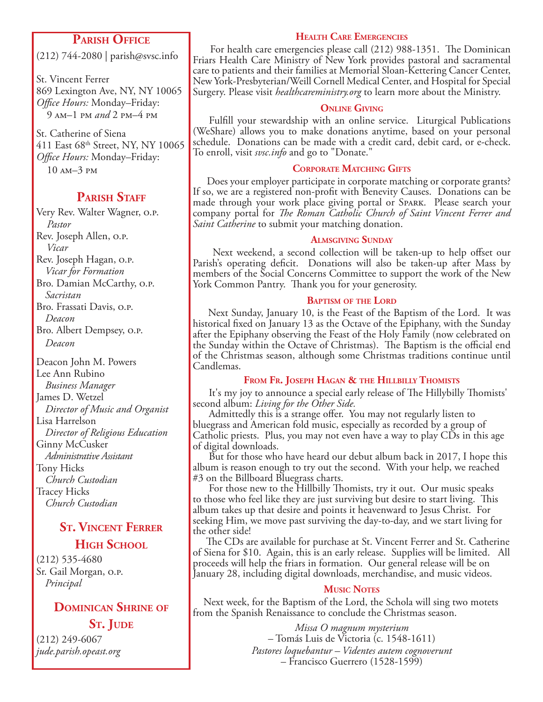### **Parish Office**

(212) 744-2080 | parish@svsc.info

St. Vincent Ferrer 869 Lexington Ave, NY, NY 10065 *Office Hours:* Monday–Friday: 9 am–1 pm *and* 2 pm–4 pm

St. Catherine of Siena 411 East 68th Street, NY, NY 10065 *Office Hours:* Monday–Friday: 10 am–3 pm

### **PARISH STAFF**

Very Rev. Walter Wagner, o.p. *Pastor* Rev. Joseph Allen, o.p. *Vicar* Rev. Joseph Hagan, o.p. *Vicar for Formation* Bro. Damian McCarthy, o.p. *Sacristan* Bro. Frassati Davis, o.p. *Deacon* Bro. Albert Dempsey, o.p. *Deacon*

Deacon John M. Powers Lee Ann Rubino *Business Manager* James D. Wetzel *Director of Music and Organist* Lisa Harrelson *Director of Religious Education* Ginny McCusker *Administrative Assistant* Tony Hicks *Church Custodian* Tracey Hicks *Church Custodian*

## **St. Vincent Ferrer HIGH SCHOOL**

(212) 535-4680 Sr. Gail Morgan, o.p. *Principal*

## **Dominican Shrine of ST. JUDE**

(212) 249-6067 *jude.parish.opeast.org*

#### **Health Care Emergencies**

 For health care emergencies please call (212) 988-1351. The Dominican Friars Health Care Ministry of New York provides pastoral and sacramental care to patients and their families at Memorial Sloan-Kettering Cancer Center, New York-Presbyterian/Weill Cornell Medical Center, and Hospital for Special Surgery. Please visit *healthcareministry.org* to learn more about the Ministry.

#### **Online Giving**

 Fulfill your stewardship with an online service. Liturgical Publications (WeShare) allows you to make donations anytime, based on your personal schedule. Donations can be made with a credit card, debit card, or e-check. To enroll, visit *svsc.info* and go to "Donate."

#### **Corporate Matching Gifts**

 Does your employer participate in corporate matching or corporate grants? If so, we are a registered non-profit with Benevity Causes. Donations can be made through your work place giving portal or Spark. Please search your company portal for *The Roman Catholic Church of Saint Vincent Ferrer and Saint Catherine* to submit your matching donation.

#### **Almsgiving Sunday**

 Next weekend, a second collection will be taken-up to help offset our Parish's operating deficit. Donations will also be taken-up after Mass by members of the Social Concerns Committee to support the work of the New York Common Pantry. Thank you for your generosity.

#### **Baptism of the Lord**

 Next Sunday, January 10, is the Feast of the Baptism of the Lord. It was historical fixed on January 13 as the Octave of the Epiphany, with the Sunday after the Epiphany observing the Feast of the Holy Family (now celebrated on the Sunday within the Octave of Christmas). The Baptism is the official end of the Christmas season, although some Christmas traditions continue until Candlemas.

#### **From Fr. Joseph Hagan & the Hillbilly Thomists**

 It's my joy to announce a special early release of The Hillybilly Thomists' second album: *Living for the Other Side.* 

 Admittedly this is a strange offer. You may not regularly listen to bluegrass and American fold music, especially as recorded by a group of Catholic priests. Plus, you may not even have a way to play CDs in this age of digital downloads.

 But for those who have heard our debut album back in 2017, I hope this album is reason enough to try out the second. With your help, we reached #3 on the Billboard Bluegrass charts.

 For those new to the Hillbilly Thomists, try it out. Our music speaks to those who feel like they are just surviving but desire to start living. This album takes up that desire and points it heavenward to Jesus Christ. For seeking Him, we move past surviving the day-to-day, and we start living for the other side!

 The CDs are available for purchase at St. Vincent Ferrer and St. Catherine of Siena for \$10. Again, this is an early release. Supplies will be limited. All proceeds will help the friars in formation. Our general release will be on January 28, including digital downloads, merchandise, and music videos.

#### **Music Notes**

Next week, for the Baptism of the Lord, the Schola will sing two motets from the Spanish Renaissance to conclude the Christmas season.

> *Missa O magnum mysterium*  – Tomás Luis de Victoria (c. 1548-1611) *Pastores loquebantur – Videntes autem cognoverunt*  – Francisco Guerrero (1528-1599)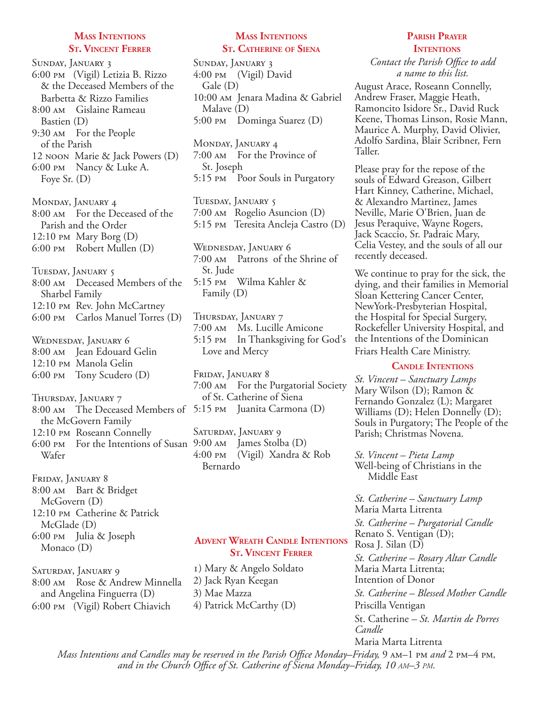#### **Mass Intentions St. Vincent Ferrer**

Sunday, January 3 6:00 pm (Vigil) Letizia B. Rizzo & the Deceased Members of the Barbetta & Rizzo Families 8:00 am Gislaine Rameau Bastien (D) 9:30 am For the People of the Parish 12 noon Marie & Jack Powers (D) 6:00 pm Nancy & Luke A. Foye Sr. (D)

Monday, January 4 8:00 am For the Deceased of the Parish and the Order 12:10 pm Mary Borg (D) 6:00 pm Robert Mullen (D)

Tuesday, January 5 8:00 am Deceased Members of the Sharbel Family 12:10 pm Rev. John McCartney 6:00 pm Carlos Manuel Torres (D)

Wednesday, January 6 8:00 AM Jean Edouard Gelin 12:10 pm Manola Gelin 6:00 pm Tony Scudero (D)

Thursday, January 7 8:00 am The Deceased Members of 5:15 pm Juanita Carmona (D) the McGovern Family 12:10 pm Roseann Connelly 6:00 pm For the Intentions of Susan 9:00 am James Stolba (D) Wafer

Friday, January 8 8:00 am Bart & Bridget McGovern (D) 12:10 pm Catherine & Patrick McGlade (D) 6:00 pm Julia & Joseph Monaco (D)

SATURDAY, JANUARY 9 8:00 am Rose & Andrew Minnella and Angelina Finguerra (D) 6:00 pm (Vigil) Robert Chiavich

#### **Mass Intentions St. Catherine of Siena**

Sunday, January 3 4:00 pm (Vigil) David Gale (D) 10:00 am Jenara Madina & Gabriel Malave (D) 5:00 pm Dominga Suarez (D)

Monday, January 4 7:00 am For the Province of St. Joseph 5:15 pm Poor Souls in Purgatory

Tuesday, January 5 7:00 am Rogelio Asuncion (D) 5:15 pm Teresita Ancleja Castro (D)

Wednesday, January 6 7:00 am Patrons of the Shrine of St. Jude 5:15 pm Wilma Kahler & Family (D)

Thursday, January 7 7:00 am Ms. Lucille Amicone 5:15 pm In Thanksgiving for God's Love and Mercy

Friday, January 8 7:00 am For the Purgatorial Society of St. Catherine of Siena

SATURDAY, JANUARY 9 4:00 pm (Vigil) Xandra & Rob Bernardo

#### **Advent Wreath Candle Intentions St. Vincent Ferrer**

1) Mary & Angelo Soldato 2) Jack Ryan Keegan 3) Mae Mazza 4) Patrick McCarthy (D)

#### **Parish Prayer INTENTIONS**

*Contact the Parish Office to add a name to this list.*

August Arace, Roseann Connelly, Andrew Fraser, Maggie Heath, Ramoncito Isidore Sr., David Ruck Keene, Thomas Linson, Rosie Mann, Maurice A. Murphy, David Olivier, Adolfo Sardina, Blair Scribner, Fern Taller.

Please pray for the repose of the souls of Edward Greason, Gilbert Hart Kinney, Catherine, Michael, & Alexandro Martinez, James Neville, Marie O'Brien, Juan de Jesus Peraquive, Wayne Rogers, Jack Scaccio, Sr. Padraic Mary, Celia Vestey, and the souls of all our recently deceased.

We continue to pray for the sick, the dying, and their families in Memorial Sloan Kettering Cancer Center, NewYork-Presbyterian Hospital, the Hospital for Special Surgery, Rockefeller University Hospital, and the Intentions of the Dominican Friars Health Care Ministry.

#### **Candle Intentions**

*St. Vincent – Sanctuary Lamps*  Mary Wilson (D); Ramon  $\&$ Fernando Gonzalez (L); Margaret Williams (D); Helen Donnelly (D); Souls in Purgatory; The People of the Parish; Christmas Novena.

*St. Vincent – Pieta Lamp* Well-being of Christians in the Middle East

*St. Catherine – Sanctuary Lamp*  Maria Marta Litrenta *St. Catherine – Purgatorial Candle*  Renato S. Ventigan (D); Rosa J. Silan (D) *St. Catherine – Rosary Altar Candle* Maria Marta Litrenta; Intention of Donor *St. Catherine – Blessed Mother Candle* Priscilla Ventigan St. Catherine *– St. Martin de Porres Candle*  Maria Marta Litrenta

*Mass Intentions and Candles may be reserved in the Parish Office Monday–Friday, 9 AM–1 PM and* 2 PM–4 PM, *and in the Church Office of St. Catherine of Siena Monday–Friday, 10 am–3 pm.*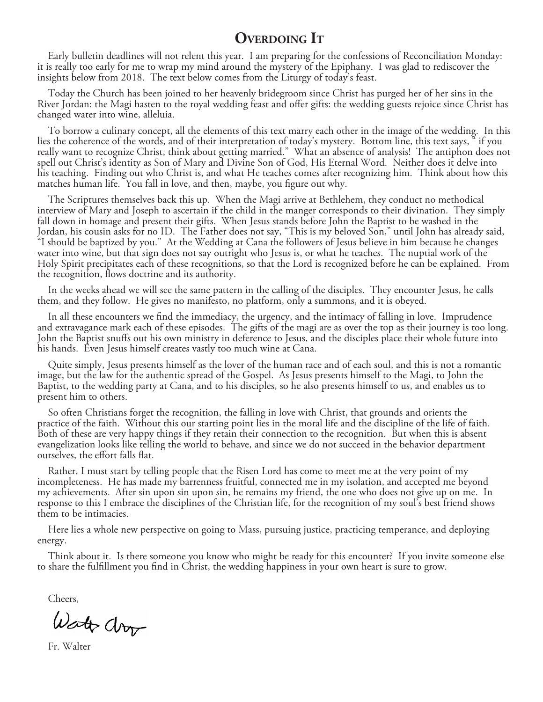## **Overdoing It**

Early bulletin deadlines will not relent this year. I am preparing for the confessions of Reconciliation Monday: it is really too early for me to wrap my mind around the mystery of the Epiphany. I was glad to rediscover the insights below from 2018. The text below comes from the Liturgy of today's feast.

Today the Church has been joined to her heavenly bridegroom since Christ has purged her of her sins in the River Jordan: the Magi hasten to the royal wedding feast and offer gifts: the wedding guests rejoice since Christ has changed water into wine, alleluia.

To borrow a culinary concept, all the elements of this text marry each other in the image of the wedding. In this lies the coherence of the words, and of their interpretation of today's mystery. Bottom line, this text says, " if you really want to recognize Christ, think about getting married." What an absence of analysis! The antiphon does not spell out Christ's identity as Son of Mary and Divine Son of God, His Eternal Word. Neither does it delve into his teaching. Finding out who Christ is, and what He teaches comes after recognizing him. Think about how this matches human life. You fall in love, and then, maybe, you figure out why.

The Scriptures themselves back this up. When the Magi arrive at Bethlehem, they conduct no methodical interview of Mary and Joseph to ascertain if the child in the manger corresponds to their divination. They simply fall down in homage and present their gifts. When Jesus stands before John the Baptist to be washed in the Jordan, his cousin asks for no ID. The Father does not say, "This is my beloved Son," until John has already said, "I should be baptized by you." At the Wedding at Cana the followers of Jesus believe in him because he changes water into wine, but that sign does not say outright who Jesus is, or what he teaches. The nuptial work of the Holy Spirit precipitates each of these recognitions, so that the Lord is recognized before he can be explained. From the recognition, flows doctrine and its authority.

In the weeks ahead we will see the same pattern in the calling of the disciples. They encounter Jesus, he calls them, and they follow. He gives no manifesto, no platform, only a summons, and it is obeyed.

In all these encounters we find the immediacy, the urgency, and the intimacy of falling in love. Imprudence and extravagance mark each of these episodes. The gifts of the magi are as over the top as their journey is too long. John the Baptist snuffs out his own ministry in deference to Jesus, and the disciples place their whole future into his hands. Even Jesus himself creates vastly too much wine at Cana.

Quite simply, Jesus presents himself as the lover of the human race and of each soul, and this is not a romantic image, but the law for the authentic spread of the Gospel. As Jesus presents himself to the Magi, to John the Baptist, to the wedding party at Cana, and to his disciples, so he also presents himself to us, and enables us to present him to others.

So often Christians forget the recognition, the falling in love with Christ, that grounds and orients the practice of the faith. Without this our starting point lies in the moral life and the discipline of the life of faith. Both of these are very happy things if they retain their connection to the recognition. But when this is absent evangelization looks like telling the world to behave, and since we do not succeed in the behavior department ourselves, the effort falls flat.

Rather, I must start by telling people that the Risen Lord has come to meet me at the very point of my incompleteness. He has made my barrenness fruitful, connected me in my isolation, and accepted me beyond my achievements. After sin upon sin upon sin, he remains my friend, the one who does not give up on me. In response to this I embrace the disciplines of the Christian life, for the recognition of my soul's best friend shows them to be intimacies.

Here lies a whole new perspective on going to Mass, pursuing justice, practicing temperance, and deploying energy.

Think about it. Is there someone you know who might be ready for this encounter? If you invite someone else to share the fulfillment you find in Christ, the wedding happiness in your own heart is sure to grow.

Cheers,

Watt drop

Fr. Walter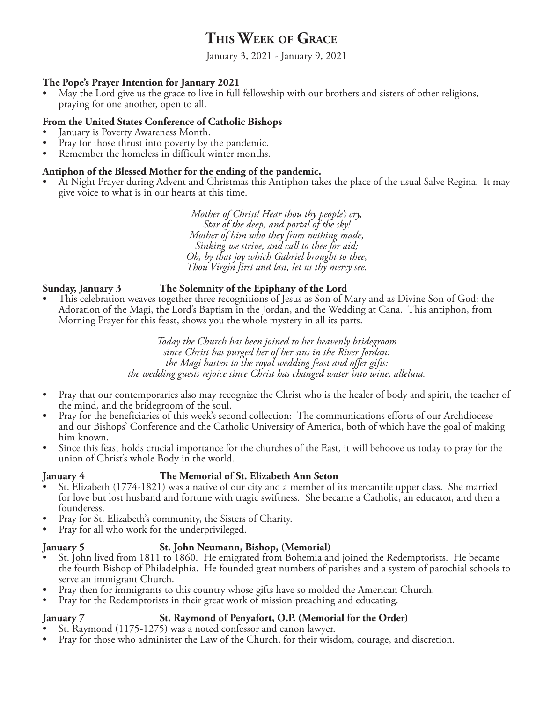## **This Week of Grace**

January 3, 2021 - January 9, 2021

#### **The Pope's Prayer Intention for January 2021**

• May the Lord give us the grace to live in full fellowship with our brothers and sisters of other religions, praying for one another, open to all.

#### **From the United States Conference of Catholic Bishops**

- January is Poverty Awareness Month.
- Pray for those thrust into poverty by the pandemic.
- Remember the homeless in difficult winter months.

#### **Antiphon of the Blessed Mother for the ending of the pandemic.**

• At Night Prayer during Advent and Christmas this Antiphon takes the place of the usual Salve Regina. It may give voice to what is in our hearts at this time.

> *Mother of Christ! Hear thou thy people's cry, Star of the deep, and portal of the sky! Mother of him who they from nothing made, Sinking we strive, and call to thee for aid; Oh, by that joy which Gabriel brought to thee, Thou Virgin first and last, let us thy mercy see.*

#### **Sunday, January 3 The Solemnity of the Epiphany of the Lord**

• This celebration weaves together three recognitions of Jesus as Son of Mary and as Divine Son of God: the Adoration of the Magi, the Lord's Baptism in the Jordan, and the Wedding at Cana. This antiphon, from Morning Prayer for this feast, shows you the whole mystery in all its parts.

> *Today the Church has been joined to her heavenly bridegroom since Christ has purged her of her sins in the River Jordan: the Magi hasten to the royal wedding feast and offer gifts: the wedding guests rejoice since Christ has changed water into wine, alleluia.*

- Pray that our contemporaries also may recognize the Christ who is the healer of body and spirit, the teacher of the mind, and the bridegroom of the soul.
- Pray for the beneficiaries of this week's second collection: The communications efforts of our Archdiocese and our Bishops' Conference and the Catholic University of America, both of which have the goal of making him known.
- Since this feast holds crucial importance for the churches of the East, it will behoove us today to pray for the union of Christ's whole Body in the world.

#### **January 4 The Memorial of St. Elizabeth Ann Seton**

- St. Elizabeth (1774-1821) was a native of our city and a member of its mercantile upper class. She married for love but lost husband and fortune with tragic swiftness. She became a Catholic, an educator, and then a
- founderess.<br>• Pray for St. Elizabeth's community, the Sisters of Charity.<br>• Pray for all who work for the underprivileged.
- 

#### **January 5 St. John Neumann, Bishop, (Memorial)**

- St. John lived from 1811 to 1860. He emigrated from Bohemia and joined the Redemptorists. He became the fourth Bishop of Philadelphia. He founded great numbers of parishes and a system of parochial schools to<br>serve an immigrant Church.
- Pray then for immigrants to this country whose gifts have so molded the American Church.
- Pray for the Redemptorists in their great work of mission preaching and educating.

#### **January 7 St. Raymond of Penyafort, O.P. (Memorial for the Order)**

- St. Raymond (1175-1275) was a noted confessor and canon lawyer.
- Pray for those who administer the Law of the Church, for their wisdom, courage, and discretion.